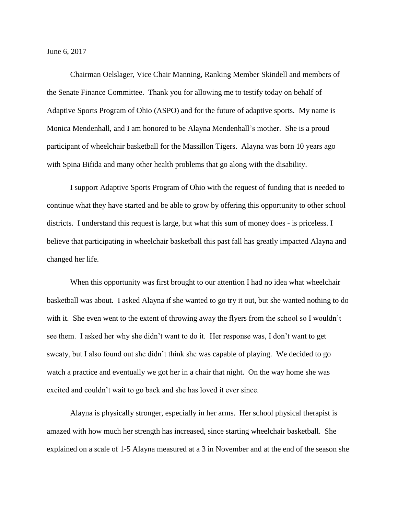June 6, 2017

Chairman Oelslager, Vice Chair Manning, Ranking Member Skindell and members of the Senate Finance Committee. Thank you for allowing me to testify today on behalf of Adaptive Sports Program of Ohio (ASPO) and for the future of adaptive sports. My name is Monica Mendenhall, and I am honored to be Alayna Mendenhall's mother. She is a proud participant of wheelchair basketball for the Massillon Tigers. Alayna was born 10 years ago with Spina Bifida and many other health problems that go along with the disability.

I support Adaptive Sports Program of Ohio with the request of funding that is needed to continue what they have started and be able to grow by offering this opportunity to other school districts. I understand this request is large, but what this sum of money does - is priceless. I believe that participating in wheelchair basketball this past fall has greatly impacted Alayna and changed her life.

When this opportunity was first brought to our attention I had no idea what wheelchair basketball was about. I asked Alayna if she wanted to go try it out, but she wanted nothing to do with it. She even went to the extent of throwing away the flyers from the school so I wouldn't see them. I asked her why she didn't want to do it. Her response was, I don't want to get sweaty, but I also found out she didn't think she was capable of playing. We decided to go watch a practice and eventually we got her in a chair that night. On the way home she was excited and couldn't wait to go back and she has loved it ever since.

Alayna is physically stronger, especially in her arms. Her school physical therapist is amazed with how much her strength has increased, since starting wheelchair basketball. She explained on a scale of 1-5 Alayna measured at a 3 in November and at the end of the season she